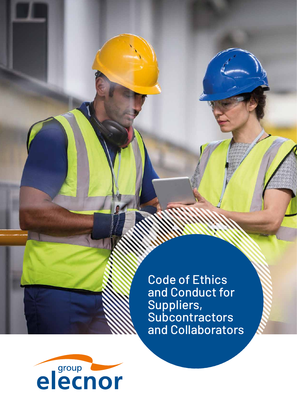Code of Ethics and Conduct for Suppliers, Subcontractors and Collaborators

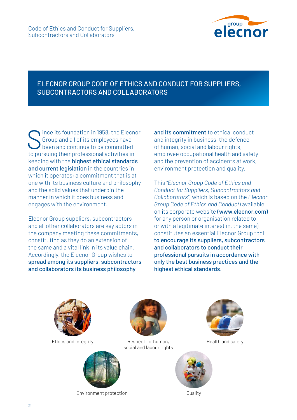

# ELECNOR GROUP CODE OF ETHICS AND CONDUCT FOR SUPPLIERS, SUBCONTRACTORS AND COLLABORATORS

ince its foundation in 1958, the Elecnor Group and all of its employees have been and continue to be committed to pursuing their professional activities in keeping with the highest ethical standards and current legislation in the countries in which it operates; a commitment that is at one with its business culture and philosophy and the solid values that underpin the manner in which it does business and engages with the environment.

Elecnor Group suppliers, subcontractors and all other collaborators are key actors in the company meeting these commitments, constituting as they do an extension of the same and a vital link in its value chain. Accordingly, the Elecnor Group wishes to spread among its suppliers, subcontractors and collaborators its business philosophy

and its commitment to ethical conduct and integrity in business, the defence of human, social and labour rights, employee occupational health and safety and the prevention of accidents at work, environment protection and quality.

This *"Elecnor Group Code of Ethics and Conduct for Suppliers, Subcontractors and Collaborators"*, which is based on the *Elecnor Group Code of Ethics and Conduct* (available on its corporate website (www.elecnor.com) for any person or organisation related to, or with a legitimate interest in, the same), constitutes an essential Elecnor Group tool to encourage its suppliers, subcontractors and collaborators to conduct their professional pursuits in accordance with only the best business practices and the highest ethical standards.



Ethics and integrity



Respect for human, social and labour rights



Environment protection **Environment** protection





Health and safety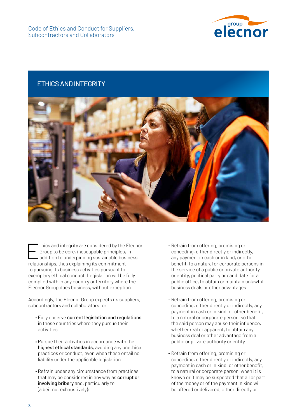

### ETHICS AND INTEGRITY



thics and integrity are considered by the Elecnor Group to be core, inescapable principles, in addition to underpinning sustainable business relationships, thus explaining its commitment to pursuing its business activities pursuant to exemplary ethical conduct. Legislation will be fully complied with in any country or territory where the Elecnor Group does business, without exception.

Accordingly, the Elecnor Group expects its suppliers, subcontractors and collaborators to:

- Fully observe current legislation and regulations in those countries where they pursue their activities.
- Pursue their activities in accordance with the highest ethical standards, avoiding any unethical practices or conduct, even when these entail no liability under the applicable legislation.
- Refrain under any circumstance from practices that may be considered in any way as corrupt or involving bribery and, particularly to (albeit not exhaustively):
- Refrain from offering, promising or conceding, either directly or indirectly, any payment in cash or in kind, or other benefit, to a natural or corporate persons in the service of a public or private authority or entity, political party or candidate for a public office, to obtain or maintain unlawful business deals or other advantages.
- Refrain from offering, promising or conceding, either directly or indirectly, any payment in cash or in kind, or other benefit, to a natural or corporate person, so that the said person may abuse their influence, whether real or apparent, to obtain any business deal or other advantage from a public or private authority or entity.
- Refrain from offering, promising or conceding, either directly or indirectly, any payment in cash or in kind, or other benefit, to a natural or corporate person, when it is known or it may be suspected that all or part of the money or of the payment in kind will be offered or delivered, either directly or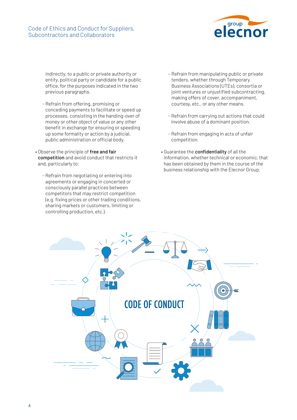#### Code of Ethics and Conduct for Suppliers, Subcontractors and Collaborators



indirectly, to a public or private authority or entity, political party or candidate for a public office, for the purposes indicated in the two previous paragraphs.

- Refrain from offering, promising or conceding payments to facilitate or speed up processes, consisting in the handing-over of money or other object of value or any other benefit in exchange for ensuring or speeding up some formality or action by a judicial, public administration or official body.
- Observe the principle of free and fair competition and avoid conduct that restricts it and, particularly to:
	- Refrain from negotiating or entering into agreements or engaging in concerted or consciously parallel practices between competitors that may restrict competition (e.g. fixing prices or other trading conditions, sharing markets or customers, limiting or controlling production, etc.).
- Refrain from manipulating public or private tenders, whether through Temporary Business Associations (UTEs), consortia or joint ventures or unjustified subcontracting, making offers of cover, accompaniment, courtesy, etc., or any other means.
- Refrain from carrying out actions that could involve abuse of a dominant position.
- Refrain from engaging in acts of unfair competition.
- Guarantee the confidentiality of all the information, whether technical or economic, that has been obtained by them in the course of the business relationship with the Elecnor Group.

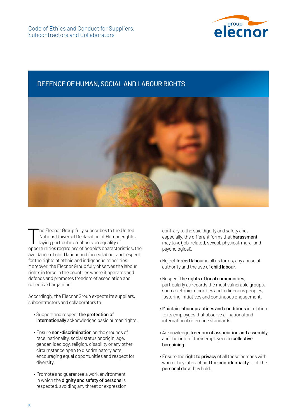

#### DEFENCE OF HUMAN, SOCIAL AND LABOUR RIGHTS



he Elecnor Group fully subscribes to the United Nations Universal Declaration of Human Rights, laying particular emphasis on equality of opportunities regardless of people's characteristics, the avoidance of child labour and forced labour and respect for the rights of ethnic and indigenous minorities. Moreover, the Elecnor Group fully observes the labour rights in force in the countries where it operates and defends and promotes freedom of association and collective bargaining.

Accordingly, the Elecnor Group expects its suppliers, subcontractors and collaborators to:

- Support and respect the protection of internationally acknowledged basic human rights.
- Ensure non-discrimination on the grounds of race, nationality, social status or origin, age, gender, ideology, religion, disability or any other circumstance open to discriminatory acts, encouraging equal opportunities and respect for diversity.
- Promote and guarantee a work environment in which the **dignity and safety of persons** is respected, avoiding any threat or expression

contrary to the said dignity and safety and, especially, the different forms that harassment may take (job-related, sexual, physical, moral and psychological).

- Reject forced labour in all its forms, any abuse of authority and the use of child labour.
- Respect the rights of local communities, particularly as regards the most vulnerable groups, such as ethnic minorities and indigenous peoples, fostering initiatives and continuous engagement.
- Maintain labour practices and conditions in relation to its employees that observe all national and international reference standards.
- Acknowledge freedom of association and assembly and the right of their employees to collective bargaining.
- Ensure the right to privacy of all those persons with whom they interact and the **confidentiality** of all the personal data they hold.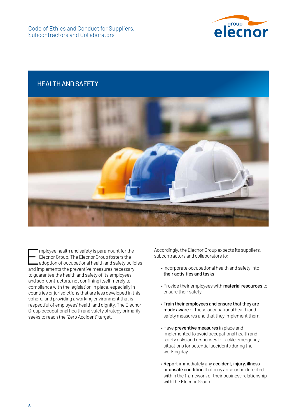

# HEALTH AND SAFETY



Employee health and safety is paramount for the<br>Elecnor Group. The Elecnor Group fosters the<br>adoption of occupational health and safety police<br>and interaction to the manufacture manufacture Elecnor Group. The Elecnor Group fosters the adoption of occupational health and safety policies and implements the preventive measures necessary to guarantee the health and safety of its employees and sub-contractors, not confining itself merely to compliance with the legislation in place, especially in countries or jurisdictions that are less developed in this sphere, and providing a working environment that is respectful of employees' health and dignity. The Elecnor Group occupational health and safety strategy primarily seeks to reach the "Zero Accident" target.

Accordingly, the Elecnor Group expects its suppliers, subcontractors and collaborators to:

- Incorporate occupational health and safety into their activities and tasks.
- Provide their employees with material resources to ensure their safety.
- Train their employees and ensure that they are made aware of these occupational health and safety measures and that they implement them.
- Have preventive measures in place and implemented to avoid occupational health and safety risks and responses to tackle emergency situations for potential accidents during the working day.
- Report immediately any accident, injury, illness or unsafe condition that may arise or be detected within the framework of their business relationship with the Elecnor Group.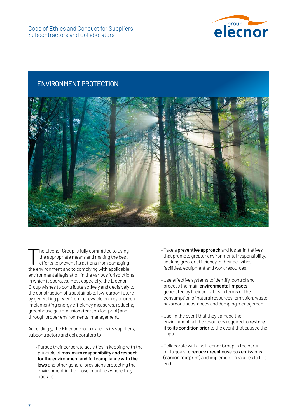

#### ENVIRONMENT PROTECTION



The Elecnor Group is fully committed to using<br>the appropriate means and making the best<br>efforts to prevent its actions from damaging the appropriate means and making the best efforts to prevent its actions from damaging the environment and to complying with applicable environmental legislation in the various jurisdictions in which it operates. Most especially, the Elecnor Group wishes to contribute actively and decisively to the construction of a sustainable, low-carbon future by generating power from renewable energy sources, implementing energy efficiency measures, reducing greenhouse gas emissions (carbon footprint) and through proper environmental management.

Accordingly, the Elecnor Group expects its suppliers, subcontractors and collaborators to:

• Pursue their corporate activities in keeping with the principle of maximum responsibility and respect for the environment and full compliance with the laws and other general provisions protecting the environment in the those countries where they operate.

- Take a preventive approach and foster initiatives that promote greater environmental responsibility, seeking greater efficiency in their activities, facilities, equipment and work resources.
- Use effective systems to identify, control and process the main environmental impacts generated by their activities in terms of the consumption of natural resources, emission, waste, hazardous substances and dumping management.
- Use, in the event that they damage the environment, all the resources required to restore it to its condition prior to the event that caused the impact.
- Collaborate with the Elecnor Group in the pursuit of its goals to reduce greenhouse gas emissions (carbon footprint) and implement measures to this end.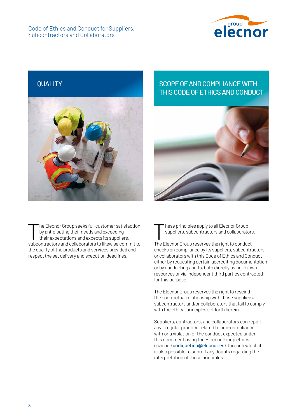Code of Ethics and Conduct for Suppliers, Subcontractors and Collaborators





he Elecnor Group seeks full customer satisfaction by anticipating their needs and exceeding their expectations and expects its suppliers, subcontractors and collaborators to likewise commit to the quality of the products and services provided and respect the set delivery and execution deadlines.

# QUALITY SCOPE OF AND COMPLIANCE WITH THIS CODE OF ETHICS AND CONDUCT



These principles apply to all Elecnor Group<br>suppliers, subcontractors and collaborate suppliers, subcontractors and collaborators.

The Elecnor Group reserves the right to conduct checks on compliance by its suppliers, subcontractors or collaborators with this Code of Ethics and Conduct either by requesting certain accrediting documentation or by conducting audits, both directly using its own resources or via independent third parties contracted for this purpose.

The Elecnor Group reserves the right to rescind the contractual relationship with those suppliers, subcontractors and/or collaborators that fail to comply with the ethical principles set forth herein.

Suppliers, contractors, and collaborators can report any irregular practice related to non-compliance with or a violation of the conduct expected under this document using the Elecnor Group ethics channel (codigoetico@elecnor.es), through which it is also possible to submit any doubts regarding the interpretation of these principles.